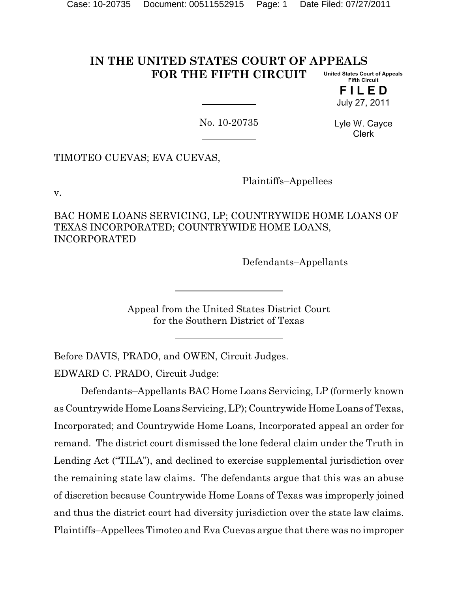#### **IN THE UNITED STATES COURT OF APPEALS FOR THE FIFTH CIRCUIT United States Court of Appeals Fifth Circuit**

**F I L E D** July 27, 2011

No. 10-20735

Lyle W. Cayce Clerk

TIMOTEO CUEVAS; EVA CUEVAS,

Plaintiffs–Appellees

v.

BAC HOME LOANS SERVICING, LP; COUNTRYWIDE HOME LOANS OF TEXAS INCORPORATED; COUNTRYWIDE HOME LOANS, INCORPORATED

Defendants–Appellants

Appeal from the United States District Court for the Southern District of Texas

Before DAVIS, PRADO, and OWEN, Circuit Judges. EDWARD C. PRADO, Circuit Judge:

Defendants–Appellants BAC Home Loans Servicing, LP (formerly known as Countrywide Home Loans Servicing, LP); Countrywide Home Loans of Texas, Incorporated; and Countrywide Home Loans, Incorporated appeal an order for remand. The district court dismissed the lone federal claim under the Truth in Lending Act ("TILA"), and declined to exercise supplemental jurisdiction over the remaining state law claims. The defendants argue that this was an abuse of discretion because Countrywide Home Loans of Texas was improperly joined and thus the district court had diversity jurisdiction over the state law claims. Plaintiffs–Appellees Timoteo and Eva Cuevas argue that there was no improper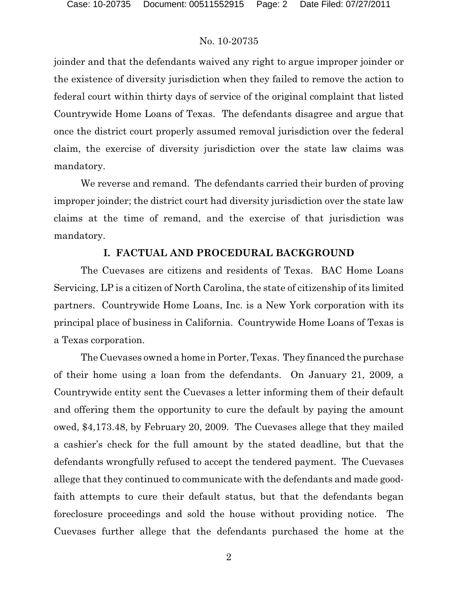joinder and that the defendants waived any right to argue improper joinder or the existence of diversity jurisdiction when they failed to remove the action to federal court within thirty days of service of the original complaint that listed Countrywide Home Loans of Texas. The defendants disagree and argue that once the district court properly assumed removal jurisdiction over the federal claim, the exercise of diversity jurisdiction over the state law claims was mandatory.

We reverse and remand. The defendants carried their burden of proving improper joinder; the district court had diversity jurisdiction over the state law claims at the time of remand, and the exercise of that jurisdiction was mandatory.

## **I. FACTUAL AND PROCEDURAL BACKGROUND**

The Cuevases are citizens and residents of Texas. BAC Home Loans Servicing, LP is a citizen of North Carolina, the state of citizenship of its limited partners. Countrywide Home Loans, Inc. is a New York corporation with its principal place of business in California. Countrywide Home Loans of Texas is a Texas corporation.

The Cuevases owned a home in Porter, Texas. They financed the purchase of their home using a loan from the defendants. On January 21, 2009, a Countrywide entity sent the Cuevases a letter informing them of their default and offering them the opportunity to cure the default by paying the amount owed, \$4,173.48, by February 20, 2009. The Cuevases allege that they mailed a cashier's check for the full amount by the stated deadline, but that the defendants wrongfully refused to accept the tendered payment. The Cuevases allege that they continued to communicate with the defendants and made goodfaith attempts to cure their default status, but that the defendants began foreclosure proceedings and sold the house without providing notice. The Cuevases further allege that the defendants purchased the home at the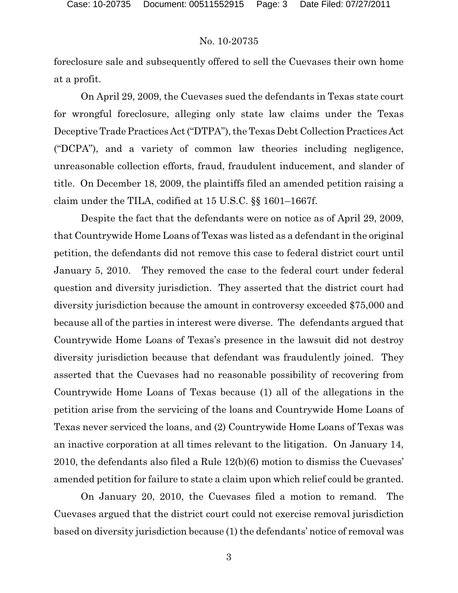foreclosure sale and subsequently offered to sell the Cuevases their own home at a profit.

On April 29, 2009, the Cuevases sued the defendants in Texas state court for wrongful foreclosure, alleging only state law claims under the Texas Deceptive Trade Practices Act ("DTPA"), the Texas Debt Collection Practices Act ("DCPA"), and a variety of common law theories including negligence, unreasonable collection efforts, fraud, fraudulent inducement, and slander of title. On December 18, 2009, the plaintiffs filed an amended petition raising a claim under the TILA, codified at 15 U.S.C. §§ 1601–1667f.

Despite the fact that the defendants were on notice as of April 29, 2009, that Countrywide Home Loans of Texas was listed as a defendant in the original petition, the defendants did not remove this case to federal district court until January 5, 2010. They removed the case to the federal court under federal question and diversity jurisdiction. They asserted that the district court had diversity jurisdiction because the amount in controversy exceeded \$75,000 and because all of the parties in interest were diverse. The defendants argued that Countrywide Home Loans of Texas's presence in the lawsuit did not destroy diversity jurisdiction because that defendant was fraudulently joined. They asserted that the Cuevases had no reasonable possibility of recovering from Countrywide Home Loans of Texas because (1) all of the allegations in the petition arise from the servicing of the loans and Countrywide Home Loans of Texas never serviced the loans, and (2) Countrywide Home Loans of Texas was an inactive corporation at all times relevant to the litigation. On January 14, 2010, the defendants also filed a Rule 12(b)(6) motion to dismiss the Cuevases' amended petition for failure to state a claim upon which relief could be granted.

On January 20, 2010, the Cuevases filed a motion to remand. The Cuevases argued that the district court could not exercise removal jurisdiction based on diversity jurisdiction because (1) the defendants' notice of removal was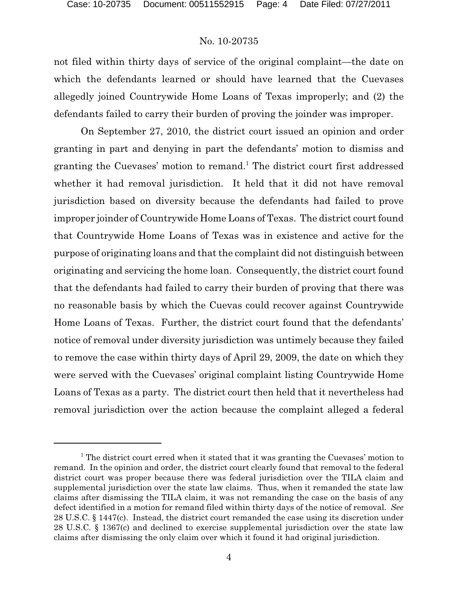not filed within thirty days of service of the original complaint—the date on which the defendants learned or should have learned that the Cuevases allegedly joined Countrywide Home Loans of Texas improperly; and (2) the defendants failed to carry their burden of proving the joinder was improper.

On September 27, 2010, the district court issued an opinion and order granting in part and denying in part the defendants' motion to dismiss and granting the Cuevases' motion to remand.<sup>1</sup> The district court first addressed whether it had removal jurisdiction. It held that it did not have removal jurisdiction based on diversity because the defendants had failed to prove improper joinder of Countrywide Home Loans of Texas. The district court found that Countrywide Home Loans of Texas was in existence and active for the purpose of originating loans and that the complaint did not distinguish between originating and servicing the home loan. Consequently, the district court found that the defendants had failed to carry their burden of proving that there was no reasonable basis by which the Cuevas could recover against Countrywide Home Loans of Texas. Further, the district court found that the defendants' notice of removal under diversity jurisdiction was untimely because they failed to remove the case within thirty days of April 29, 2009, the date on which they were served with the Cuevases' original complaint listing Countrywide Home Loans of Texas as a party. The district court then held that it nevertheless had removal jurisdiction over the action because the complaint alleged a federal

 $<sup>1</sup>$  The district court erred when it stated that it was granting the Cuevases' motion to</sup> remand. In the opinion and order, the district court clearly found that removal to the federal district court was proper because there was federal jurisdiction over the TILA claim and supplemental jurisdiction over the state law claims. Thus, when it remanded the state law claims after dismissing the TILA claim, it was not remanding the case on the basis of any defect identified in a motion for remand filed within thirty days of the notice of removal. *See* 28 U.S.C. § 1447(c). Instead, the district court remanded the case using its discretion under 28 U.S.C. § 1367(c) and declined to exercise supplemental jurisdiction over the state law claims after dismissing the only claim over which it found it had original jurisdiction.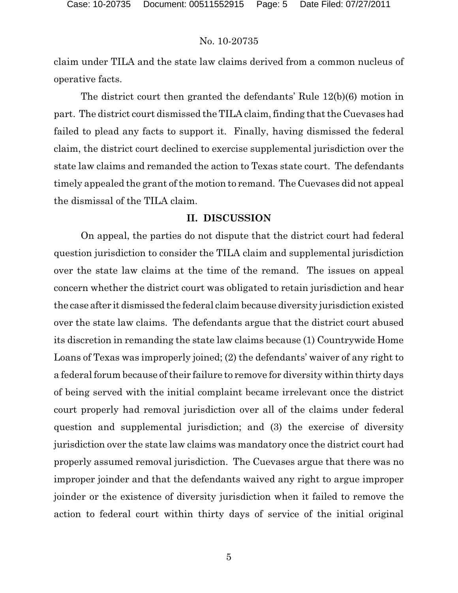claim under TILA and the state law claims derived from a common nucleus of operative facts.

The district court then granted the defendants' Rule 12(b)(6) motion in part. The district court dismissed the TILA claim, finding that the Cuevases had failed to plead any facts to support it. Finally, having dismissed the federal claim, the district court declined to exercise supplemental jurisdiction over the state law claims and remanded the action to Texas state court. The defendants timely appealed the grant of the motion to remand. The Cuevases did not appeal the dismissal of the TILA claim.

# **II. DISCUSSION**

On appeal, the parties do not dispute that the district court had federal question jurisdiction to consider the TILA claim and supplemental jurisdiction over the state law claims at the time of the remand. The issues on appeal concern whether the district court was obligated to retain jurisdiction and hear the case after it dismissed the federal claim because diversity jurisdiction existed over the state law claims. The defendants argue that the district court abused its discretion in remanding the state law claims because (1) Countrywide Home Loans of Texas was improperly joined; (2) the defendants' waiver of any right to a federal forum because of their failure to remove for diversity within thirty days of being served with the initial complaint became irrelevant once the district court properly had removal jurisdiction over all of the claims under federal question and supplemental jurisdiction; and (3) the exercise of diversity jurisdiction over the state law claims was mandatory once the district court had properly assumed removal jurisdiction. The Cuevases argue that there was no improper joinder and that the defendants waived any right to argue improper joinder or the existence of diversity jurisdiction when it failed to remove the action to federal court within thirty days of service of the initial original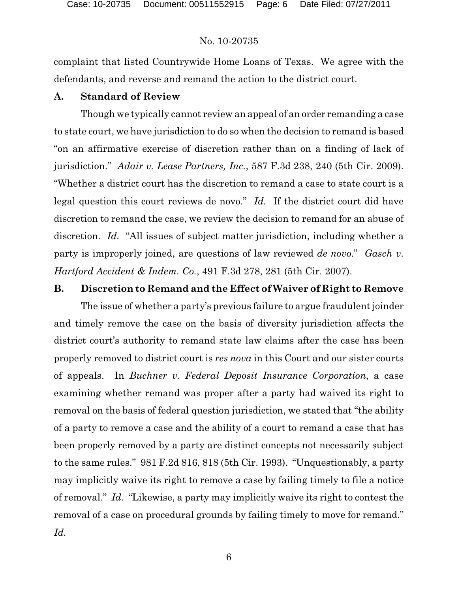complaint that listed Countrywide Home Loans of Texas. We agree with the defendants, and reverse and remand the action to the district court.

### **A. Standard of Review**

Though we typically cannot review an appeal of an order remanding a case to state court, we have jurisdiction to do so when the decision to remand is based "on an affirmative exercise of discretion rather than on a finding of lack of jurisdiction." *Adair v. Lease Partners, Inc.*, 587 F.3d 238, 240 (5th Cir. 2009). "Whether a district court has the discretion to remand a case to state court is a legal question this court reviews de novo." *Id.* If the district court did have discretion to remand the case, we review the decision to remand for an abuse of discretion. *Id.* "All issues of subject matter jurisdiction, including whether a party is improperly joined, are questions of law reviewed *de novo*." *Gasch v. Hartford Accident & Indem. Co.*, 491 F.3d 278, 281 (5th Cir. 2007).

### **B. Discretion to Remand and the Effect of Waiver of Right to Remove**

The issue of whether a party's previous failure to argue fraudulent joinder and timely remove the case on the basis of diversity jurisdiction affects the district court's authority to remand state law claims after the case has been properly removed to district court is *res nova* in this Court and our sister courts of appeals. In *Buchner v. Federal Deposit Insurance Corporation*, a case examining whether remand was proper after a party had waived its right to removal on the basis of federal question jurisdiction, we stated that "the ability of a party to remove a case and the ability of a court to remand a case that has been properly removed by a party are distinct concepts not necessarily subject to the same rules." 981 F.2d 816, 818 (5th Cir. 1993). "Unquestionably, a party may implicitly waive its right to remove a case by failing timely to file a notice of removal." *Id.* "Likewise, a party may implicitly waive its right to contest the removal of a case on procedural grounds by failing timely to move for remand." *Id.*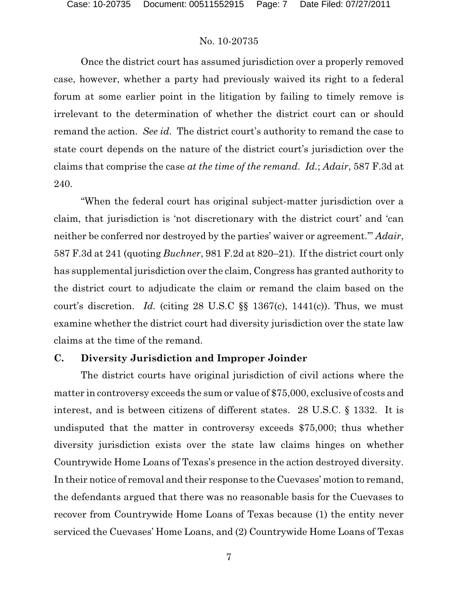Once the district court has assumed jurisdiction over a properly removed case, however, whether a party had previously waived its right to a federal forum at some earlier point in the litigation by failing to timely remove is irrelevant to the determination of whether the district court can or should remand the action. *See id.* The district court's authority to remand the case to state court depends on the nature of the district court's jurisdiction over the claims that comprise the case *at the time of the remand*. *Id.*; *Adair*, 587 F.3d at 240.

"When the federal court has original subject-matter jurisdiction over a claim, that jurisdiction is 'not discretionary with the district court' and 'can neither be conferred nor destroyed by the parties' waiver or agreement.'" *Adair*, 587 F.3d at 241 (quoting *Buchner*, 981 F.2d at 820–21). If the district court only has supplemental jurisdiction over the claim, Congress has granted authority to the district court to adjudicate the claim or remand the claim based on the court's discretion. *Id.* (citing 28 U.S.C §§ 1367(c), 1441(c)). Thus, we must examine whether the district court had diversity jurisdiction over the state law claims at the time of the remand.

## **C. Diversity Jurisdiction and Improper Joinder**

The district courts have original jurisdiction of civil actions where the matter in controversy exceeds the sum or value of \$75,000, exclusive of costs and interest, and is between citizens of different states. 28 U.S.C. § 1332. It is undisputed that the matter in controversy exceeds \$75,000; thus whether diversity jurisdiction exists over the state law claims hinges on whether Countrywide Home Loans of Texas's presence in the action destroyed diversity. In their notice of removal and their response to the Cuevases' motion to remand, the defendants argued that there was no reasonable basis for the Cuevases to recover from Countrywide Home Loans of Texas because (1) the entity never serviced the Cuevases' Home Loans, and (2) Countrywide Home Loans of Texas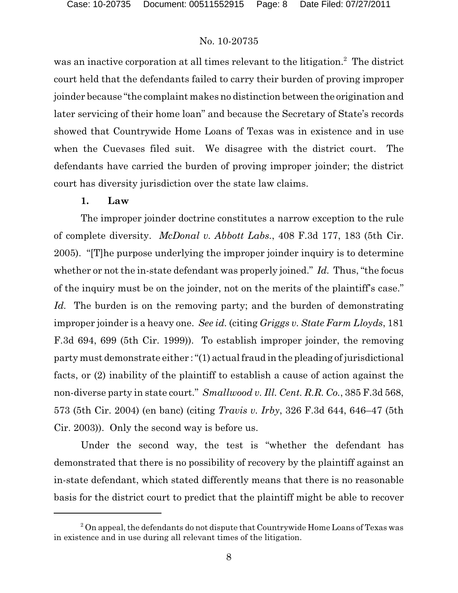was an inactive corporation at all times relevant to the litigation.<sup>2</sup> The district court held that the defendants failed to carry their burden of proving improper joinder because "the complaint makes no distinction between the origination and later servicing of their home loan" and because the Secretary of State's records showed that Countrywide Home Loans of Texas was in existence and in use when the Cuevases filed suit. We disagree with the district court. The defendants have carried the burden of proving improper joinder; the district court has diversity jurisdiction over the state law claims.

#### **1. Law**

The improper joinder doctrine constitutes a narrow exception to the rule of complete diversity. *McDonal v. Abbott Labs.*, 408 F.3d 177, 183 (5th Cir. 2005). "[T]he purpose underlying the improper joinder inquiry is to determine whether or not the in-state defendant was properly joined." *Id.* Thus, "the focus of the inquiry must be on the joinder, not on the merits of the plaintiff's case." *Id.* The burden is on the removing party; and the burden of demonstrating improper joinder is a heavy one. *See id.* (citing *Griggs v. State Farm Lloyds*, 181 F.3d 694, 699 (5th Cir. 1999)). To establish improper joinder, the removing party must demonstrate either : "(1) actual fraud in the pleading of jurisdictional facts, or (2) inability of the plaintiff to establish a cause of action against the non-diverse party in state court." *Smallwood v. Ill. Cent. R.R. Co.*, 385 F.3d 568, 573 (5th Cir. 2004) (en banc) (citing *Travis v. Irby*, 326 F.3d 644, 646–47 (5th Cir. 2003)). Only the second way is before us.

Under the second way, the test is "whether the defendant has demonstrated that there is no possibility of recovery by the plaintiff against an in-state defendant, which stated differently means that there is no reasonable basis for the district court to predict that the plaintiff might be able to recover

 $^2$  On appeal, the defendants do not dispute that Countrywide Home Loans of Texas was in existence and in use during all relevant times of the litigation.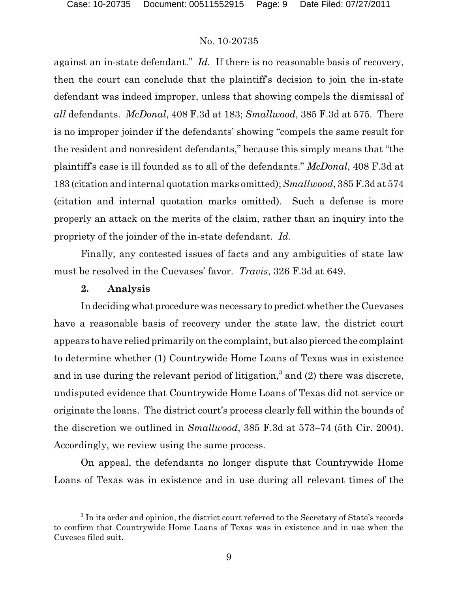against an in-state defendant." *Id.* If there is no reasonable basis of recovery, then the court can conclude that the plaintiff's decision to join the in-state defendant was indeed improper, unless that showing compels the dismissal of *all* defendants. *McDonal*, 408 F.3d at 183; *Smallwood*, 385 F.3d at 575. There is no improper joinder if the defendants' showing "compels the same result for the resident and nonresident defendants," because this simply means that "the plaintiff's case is ill founded as to all of the defendants." *McDonal*, 408 F.3d at 183 (citation and internal quotation marks omitted); *Smallwood*, 385 F.3d at 574 (citation and internal quotation marks omitted). Such a defense is more properly an attack on the merits of the claim, rather than an inquiry into the propriety of the joinder of the in-state defendant. *Id.*

Finally, any contested issues of facts and any ambiguities of state law must be resolved in the Cuevases' favor. *Travis*, 326 F.3d at 649.

#### **2. Analysis**

In deciding what procedure was necessary to predict whether the Cuevases have a reasonable basis of recovery under the state law, the district court appears to have relied primarily on the complaint, but also pierced the complaint to determine whether (1) Countrywide Home Loans of Texas was in existence and in use during the relevant period of litigation,<sup>3</sup> and  $(2)$  there was discrete, undisputed evidence that Countrywide Home Loans of Texas did not service or originate the loans. The district court's process clearly fell within the bounds of the discretion we outlined in *Smallwood*, 385 F.3d at 573–74 (5th Cir. 2004). Accordingly, we review using the same process.

On appeal, the defendants no longer dispute that Countrywide Home Loans of Texas was in existence and in use during all relevant times of the

 $3$  In its order and opinion, the district court referred to the Secretary of State's records to confirm that Countrywide Home Loans of Texas was in existence and in use when the Cuveses filed suit.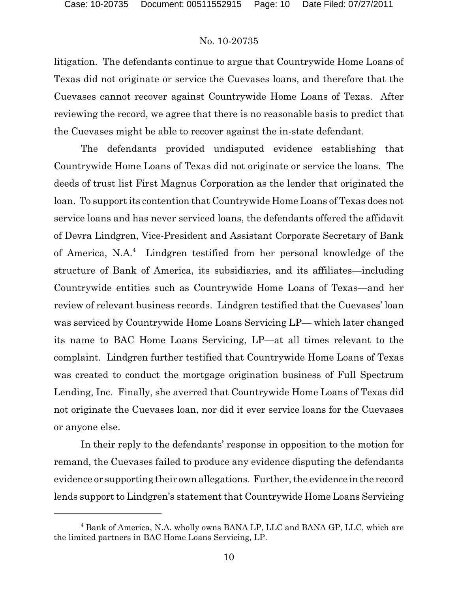litigation. The defendants continue to argue that Countrywide Home Loans of Texas did not originate or service the Cuevases loans, and therefore that the Cuevases cannot recover against Countrywide Home Loans of Texas. After reviewing the record, we agree that there is no reasonable basis to predict that the Cuevases might be able to recover against the in-state defendant.

The defendants provided undisputed evidence establishing that Countrywide Home Loans of Texas did not originate or service the loans. The deeds of trust list First Magnus Corporation as the lender that originated the loan. To support its contention that Countrywide Home Loans of Texas does not service loans and has never serviced loans, the defendants offered the affidavit of Devra Lindgren, Vice-President and Assistant Corporate Secretary of Bank of America, N.A.<sup>4</sup> Lindgren testified from her personal knowledge of the structure of Bank of America, its subsidiaries, and its affiliates—including Countrywide entities such as Countrywide Home Loans of Texas—and her review of relevant business records. Lindgren testified that the Cuevases' loan was serviced by Countrywide Home Loans Servicing LP— which later changed its name to BAC Home Loans Servicing, LP—at all times relevant to the complaint. Lindgren further testified that Countrywide Home Loans of Texas was created to conduct the mortgage origination business of Full Spectrum Lending, Inc. Finally, she averred that Countrywide Home Loans of Texas did not originate the Cuevases loan, nor did it ever service loans for the Cuevases or anyone else.

In their reply to the defendants' response in opposition to the motion for remand, the Cuevases failed to produce any evidence disputing the defendants evidence or supporting their own allegations. Further, the evidence in the record lends support to Lindgren's statement that Countrywide Home Loans Servicing

<sup>&</sup>lt;sup>4</sup> Bank of America, N.A. wholly owns BANA LP, LLC and BANA GP, LLC, which are the limited partners in BAC Home Loans Servicing, LP.